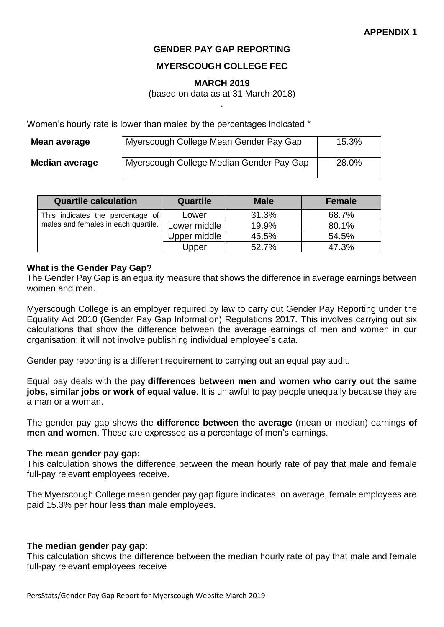# **GENDER PAY GAP REPORTING**

# **MYERSCOUGH COLLEGE FEC**

### **MARCH 2019**

(based on data as at 31 March 2018) .

Women's hourly rate is lower than males by the percentages indicated \*

| Mean average   | Myerscough College Mean Gender Pay Gap   | 15.3% |
|----------------|------------------------------------------|-------|
| Median average | Myerscough College Median Gender Pay Gap | 28.0% |

| <b>Quartile calculation</b>         | <b>Quartile</b> | <b>Male</b> | <b>Female</b> |
|-------------------------------------|-----------------|-------------|---------------|
| This indicates the percentage of    | Lower           | 31.3%       | 68.7%         |
| males and females in each quartile. | Lower middle    | 19.9%       | 80.1%         |
|                                     | Upper middle    | 45.5%       | 54.5%         |
|                                     | Upper           | 52.7%       | 47.3%         |

### **What is the Gender Pay Gap?**

The Gender Pay Gap is an equality measure that shows the difference in average earnings between women and men.

Myerscough College is an employer required by law to carry out Gender Pay Reporting under the Equality Act 2010 (Gender Pay Gap Information) Regulations 2017. This involves carrying out six calculations that show the difference between the average earnings of men and women in our organisation; it will not involve publishing individual employee's data.

Gender pay reporting is a different requirement to carrying out an equal pay audit.

Equal pay deals with the pay **differences between men and women who carry out the same jobs, similar jobs or work of equal value**. It is unlawful to pay people unequally because they are a man or a woman.

The gender pay gap shows the **difference between the average** (mean or median) earnings **of men and women**. These are expressed as a percentage of men's earnings.

#### **The mean gender pay gap:**

This calculation shows the difference between the mean hourly rate of pay that male and female full-pay relevant employees receive.

The Myerscough College mean gender pay gap figure indicates, on average, female employees are paid 15.3% per hour less than male employees.

#### **The median gender pay gap:**

This calculation shows the difference between the median hourly rate of pay that male and female full-pay relevant employees receive